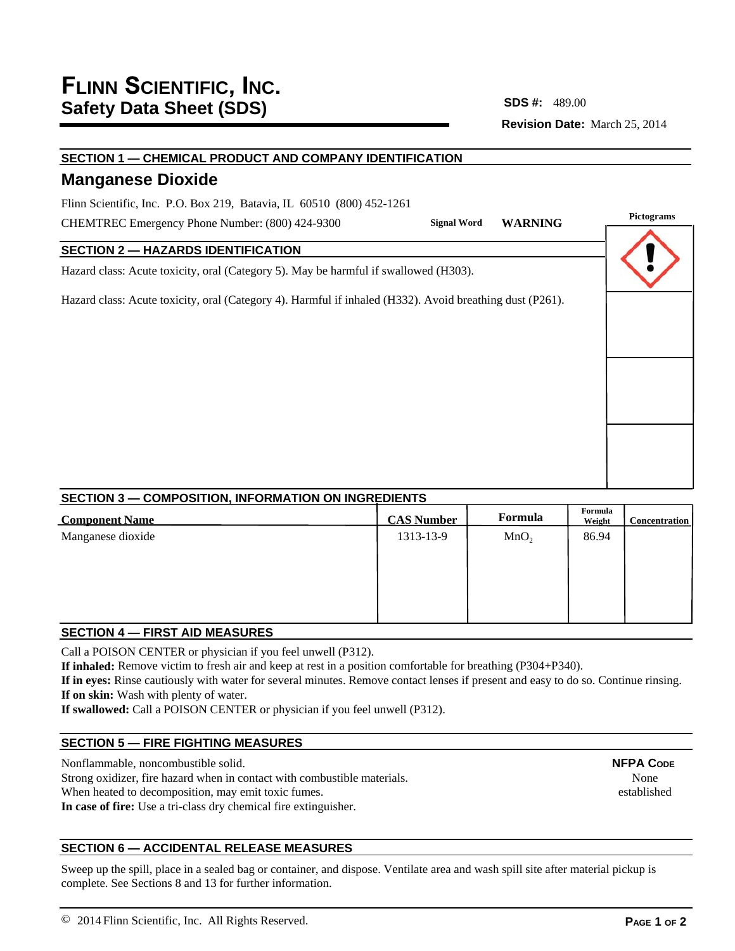**Revision Date:** March 25, 2014 **SDS #:**

**Pictograms Signal Word WARNING**

# **SECTION 1 — CHEMICAL PRODUCT AND COMPANY IDENTIFICATION**

# **Manganese Dioxide**

Flinn Scientific, Inc. P.O. Box 219, Batavia, IL 60510 (800) 452-1261

CHEMTREC Emergency Phone Number: (800) 424-9300

# **SECTION 2 — HAZARDS IDENTIFICATION**

Hazard class: Acute toxicity, oral (Category 5). May be harmful if swallowed (H303).

Hazard class: Acute toxicity, oral (Category 4). Harmful if inhaled (H332). Avoid breathing dust (P261).

# **SECTION 3 — COMPOSITION, INFORMATION ON INGREDIENTS Component Name Formula Example 1 CAS Number Formula Formula Formula Formula**

| <b>Component Name</b> | <b>CAS Number</b> | <b>Formula</b>   | Weight | <b>Concentration</b> |
|-----------------------|-------------------|------------------|--------|----------------------|
| Manganese dioxide     | 1313-13-9         | MnO <sub>2</sub> | 86.94  |                      |
|                       |                   |                  |        |                      |
|                       |                   |                  |        |                      |
|                       |                   |                  |        |                      |
|                       |                   |                  |        |                      |

# **SECTION 4 — FIRST AID MEASURES**

Call a POISON CENTER or physician if you feel unwell (P312).

**If inhaled:** Remove victim to fresh air and keep at rest in a position comfortable for breathing (P304+P340).

**If in eyes:** Rinse cautiously with water for several minutes. Remove contact lenses if present and easy to do so. Continue rinsing. **If on skin:** Wash with plenty of water.

**If swallowed:** Call a POISON CENTER or physician if you feel unwell (P312).

# **SECTION 5 — FIRE FIGHTING MEASURES**

Nonflammable, noncombustible solid. Strong oxidizer, fire hazard when in contact with combustible materials. When heated to decomposition, may emit toxic fumes.

**In case of fire:** Use a tri-class dry chemical fire extinguisher.

# **SECTION 6 — ACCIDENTAL RELEASE MEASURES**

Sweep up the spill, place in a sealed bag or container, and dispose. Ventilate area and wash spill site after material pickup is complete. See Sections 8 and 13 for further information.